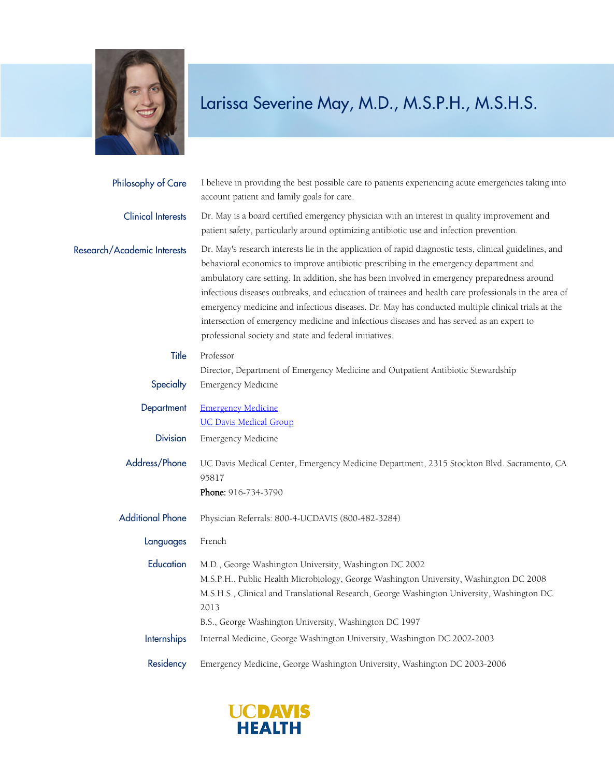

## Larissa Severine May, M.D., M.S.P.H., M.S.H.S.

| Philosophy of Care          | I believe in providing the best possible care to patients experiencing acute emergencies taking into<br>account patient and family goals for care.                                                                                                                                                                                                                                                                                                                                                                                                                                                                                                                      |
|-----------------------------|-------------------------------------------------------------------------------------------------------------------------------------------------------------------------------------------------------------------------------------------------------------------------------------------------------------------------------------------------------------------------------------------------------------------------------------------------------------------------------------------------------------------------------------------------------------------------------------------------------------------------------------------------------------------------|
| <b>Clinical Interests</b>   | Dr. May is a board certified emergency physician with an interest in quality improvement and<br>patient safety, particularly around optimizing antibiotic use and infection prevention.                                                                                                                                                                                                                                                                                                                                                                                                                                                                                 |
| Research/Academic Interests | Dr. May's research interests lie in the application of rapid diagnostic tests, clinical guidelines, and<br>behavioral economics to improve antibiotic prescribing in the emergency department and<br>ambulatory care setting. In addition, she has been involved in emergency preparedness around<br>infectious diseases outbreaks, and education of trainees and health care professionals in the area of<br>emergency medicine and infectious diseases. Dr. May has conducted multiple clinical trials at the<br>intersection of emergency medicine and infectious diseases and has served as an expert to<br>professional society and state and federal initiatives. |
| Title                       | Professor                                                                                                                                                                                                                                                                                                                                                                                                                                                                                                                                                                                                                                                               |
| Specialty                   | Director, Department of Emergency Medicine and Outpatient Antibiotic Stewardship<br><b>Emergency Medicine</b>                                                                                                                                                                                                                                                                                                                                                                                                                                                                                                                                                           |
| Department                  | <b>Emergency Medicine</b>                                                                                                                                                                                                                                                                                                                                                                                                                                                                                                                                                                                                                                               |
|                             | <b>UC Davis Medical Group</b>                                                                                                                                                                                                                                                                                                                                                                                                                                                                                                                                                                                                                                           |
| <b>Division</b>             | Emergency Medicine                                                                                                                                                                                                                                                                                                                                                                                                                                                                                                                                                                                                                                                      |
| Address/Phone               | UC Davis Medical Center, Emergency Medicine Department, 2315 Stockton Blvd. Sacramento, CA<br>95817<br>Phone: 916-734-3790                                                                                                                                                                                                                                                                                                                                                                                                                                                                                                                                              |
|                             |                                                                                                                                                                                                                                                                                                                                                                                                                                                                                                                                                                                                                                                                         |
| <b>Additional Phone</b>     | Physician Referrals: 800-4-UCDAVIS (800-482-3284)                                                                                                                                                                                                                                                                                                                                                                                                                                                                                                                                                                                                                       |
| Languages                   | French                                                                                                                                                                                                                                                                                                                                                                                                                                                                                                                                                                                                                                                                  |
| Education                   | M.D., George Washington University, Washington DC 2002<br>M.S.P.H., Public Health Microbiology, George Washington University, Washington DC 2008<br>M.S.H.S., Clinical and Translational Research, George Washington University, Washington DC<br>2013<br>B.S., George Washington University, Washington DC 1997                                                                                                                                                                                                                                                                                                                                                        |
| Internships                 | Internal Medicine, George Washington University, Washington DC 2002-2003                                                                                                                                                                                                                                                                                                                                                                                                                                                                                                                                                                                                |
| Residency                   | Emergency Medicine, George Washington University, Washington DC 2003-2006                                                                                                                                                                                                                                                                                                                                                                                                                                                                                                                                                                                               |

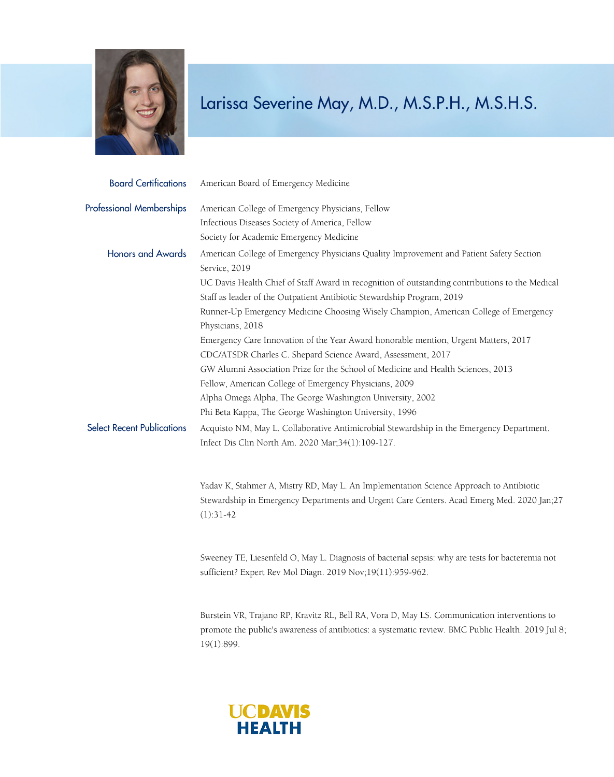

## Larissa Severine May, M.D., M.S.P.H., M.S.H.S.

| <b>Board Certifications</b>       | American Board of Emergency Medicine                                                                                                                                                                                                                                                                                                                                                                                                                                                                                                                                                                                                                                                                                                                                                                                          |
|-----------------------------------|-------------------------------------------------------------------------------------------------------------------------------------------------------------------------------------------------------------------------------------------------------------------------------------------------------------------------------------------------------------------------------------------------------------------------------------------------------------------------------------------------------------------------------------------------------------------------------------------------------------------------------------------------------------------------------------------------------------------------------------------------------------------------------------------------------------------------------|
| <b>Professional Memberships</b>   | American College of Emergency Physicians, Fellow<br>Infectious Diseases Society of America, Fellow<br>Society for Academic Emergency Medicine                                                                                                                                                                                                                                                                                                                                                                                                                                                                                                                                                                                                                                                                                 |
| <b>Honors and Awards</b>          | American College of Emergency Physicians Quality Improvement and Patient Safety Section<br>Service, 2019<br>UC Davis Health Chief of Staff Award in recognition of outstanding contributions to the Medical<br>Staff as leader of the Outpatient Antibiotic Stewardship Program, 2019<br>Runner-Up Emergency Medicine Choosing Wisely Champion, American College of Emergency<br>Physicians, 2018<br>Emergency Care Innovation of the Year Award honorable mention, Urgent Matters, 2017<br>CDC/ATSDR Charles C. Shepard Science Award, Assessment, 2017<br>GW Alumni Association Prize for the School of Medicine and Health Sciences, 2013<br>Fellow, American College of Emergency Physicians, 2009<br>Alpha Omega Alpha, The George Washington University, 2002<br>Phi Beta Kappa, The George Washington University, 1996 |
| <b>Select Recent Publications</b> | Acquisto NM, May L. Collaborative Antimicrobial Stewardship in the Emergency Department.<br>Infect Dis Clin North Am. 2020 Mar;34(1):109-127.<br>Yadav K, Stahmer A, Mistry RD, May L. An Implementation Science Approach to Antibiotic<br>Stewardship in Emergency Departments and Urgent Care Centers. Acad Emerg Med. 2020 Jan;27<br>$(1):31-42$                                                                                                                                                                                                                                                                                                                                                                                                                                                                           |
|                                   | Sweeney TE, Liesenfeld O, May L. Diagnosis of bacterial sepsis: why are tests for bacteremia not<br>sufficient? Expert Rev Mol Diagn. 2019 Nov;19(11):959-962.                                                                                                                                                                                                                                                                                                                                                                                                                                                                                                                                                                                                                                                                |
|                                   | Burstein VR, Trajano RP, Kravitz RL, Bell RA, Vora D, May LS. Communication interventions to<br>promote the public's awareness of antibiotics: a systematic review. BMC Public Health. 2019 Jul 8;<br>19(1):899.                                                                                                                                                                                                                                                                                                                                                                                                                                                                                                                                                                                                              |